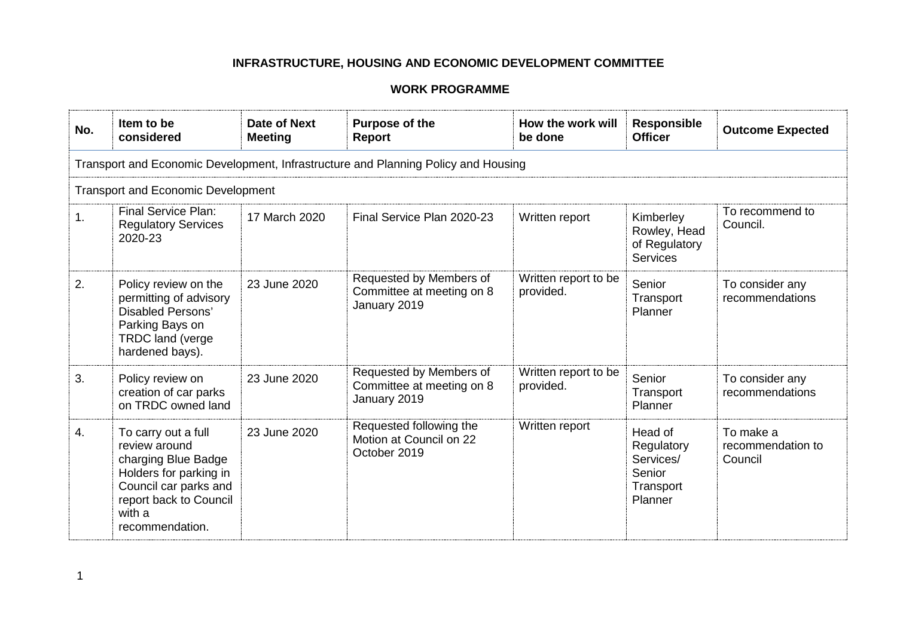| No. | Item to be<br>considered                                                                                                                                              | Date of Next<br><b>Meeting</b> | <b>Purpose of the</b><br><b>Report</b>                               | How the work will<br>be done      | <b>Responsible</b><br><b>Officer</b>                                 | <b>Outcome Expected</b>                   |  |  |
|-----|-----------------------------------------------------------------------------------------------------------------------------------------------------------------------|--------------------------------|----------------------------------------------------------------------|-----------------------------------|----------------------------------------------------------------------|-------------------------------------------|--|--|
|     | Transport and Economic Development, Infrastructure and Planning Policy and Housing                                                                                    |                                |                                                                      |                                   |                                                                      |                                           |  |  |
|     | <b>Transport and Economic Development</b>                                                                                                                             |                                |                                                                      |                                   |                                                                      |                                           |  |  |
| 1.  | <b>Final Service Plan:</b><br><b>Regulatory Services</b><br>2020-23                                                                                                   | 17 March 2020                  | Final Service Plan 2020-23                                           | Written report                    | Kimberley<br>Rowley, Head<br>of Regulatory<br><b>Services</b>        | To recommend to<br>Council.               |  |  |
| 2.  | Policy review on the<br>permitting of advisory<br><b>Disabled Persons'</b><br>Parking Bays on<br><b>TRDC land (verge</b><br>hardened bays).                           | 23 June 2020                   | Requested by Members of<br>Committee at meeting on 8<br>January 2019 | Written report to be<br>provided. | Senior<br>Transport<br>Planner                                       | To consider any<br>recommendations        |  |  |
| 3.  | Policy review on<br>creation of car parks<br>on TRDC owned land                                                                                                       | 23 June 2020                   | Requested by Members of<br>Committee at meeting on 8<br>January 2019 | Written report to be<br>provided. | Senior<br>Transport<br>Planner                                       | To consider any<br>recommendations        |  |  |
| 4.  | To carry out a full<br>review around<br>charging Blue Badge<br>Holders for parking in<br>Council car parks and<br>report back to Council<br>with a<br>recommendation. | 23 June 2020                   | Requested following the<br>Motion at Council on 22<br>October 2019   | Written report                    | Head of<br>Regulatory<br>Services/<br>Senior<br>Transport<br>Planner | To make a<br>recommendation to<br>Council |  |  |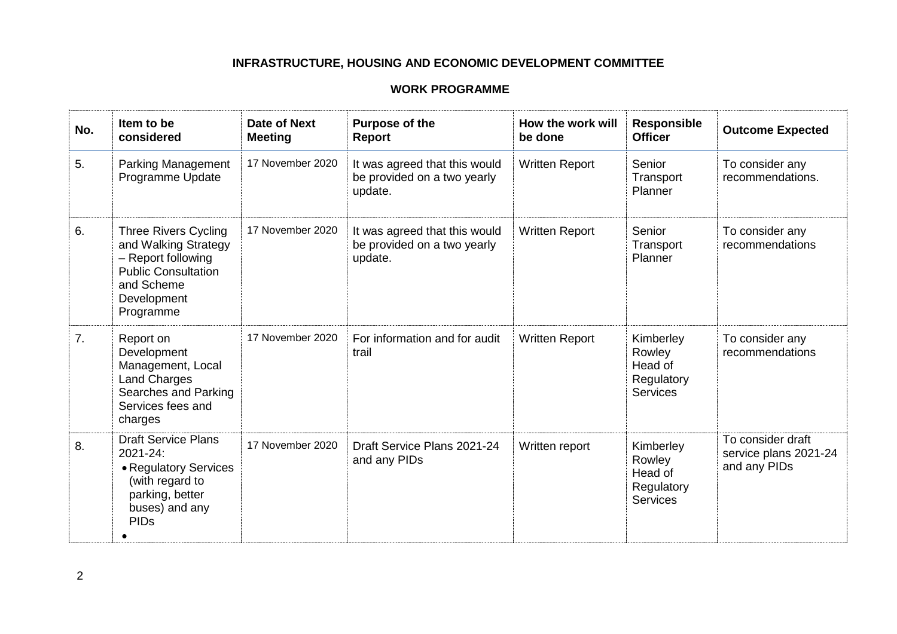| No. | Item to be<br>considered                                                                                                                          | Date of Next<br><b>Meeting</b> | Purpose of the<br><b>Report</b>                                         | How the work will<br>be done | <b>Responsible</b><br><b>Officer</b>                            | <b>Outcome Expected</b>                                    |
|-----|---------------------------------------------------------------------------------------------------------------------------------------------------|--------------------------------|-------------------------------------------------------------------------|------------------------------|-----------------------------------------------------------------|------------------------------------------------------------|
| 5.  | <b>Parking Management</b><br>Programme Update                                                                                                     | 17 November 2020               | It was agreed that this would<br>be provided on a two yearly<br>update. | <b>Written Report</b>        | Senior<br>Transport<br>Planner                                  | To consider any<br>recommendations.                        |
| 6.  | <b>Three Rivers Cycling</b><br>and Walking Strategy<br>- Report following<br><b>Public Consultation</b><br>and Scheme<br>Development<br>Programme | 17 November 2020               | It was agreed that this would<br>be provided on a two yearly<br>update. | <b>Written Report</b>        | Senior<br>Transport<br>Planner                                  | To consider any<br>recommendations                         |
| 7.  | Report on<br>Development<br>Management, Local<br><b>Land Charges</b><br>Searches and Parking<br>Services fees and<br>charges                      | 17 November 2020               | For information and for audit<br>trail                                  | <b>Written Report</b>        | Kimberley<br>Rowley<br>Head of<br>Regulatory<br><b>Services</b> | To consider any<br>recommendations                         |
| 8.  | <b>Draft Service Plans</b><br>2021-24:<br>• Regulatory Services<br>(with regard to<br>parking, better<br>buses) and any<br><b>PIDs</b>            | 17 November 2020               | Draft Service Plans 2021-24<br>and any PIDs                             | Written report               | Kimberley<br>Rowley<br>Head of<br>Regulatory<br><b>Services</b> | To consider draft<br>service plans 2021-24<br>and any PIDs |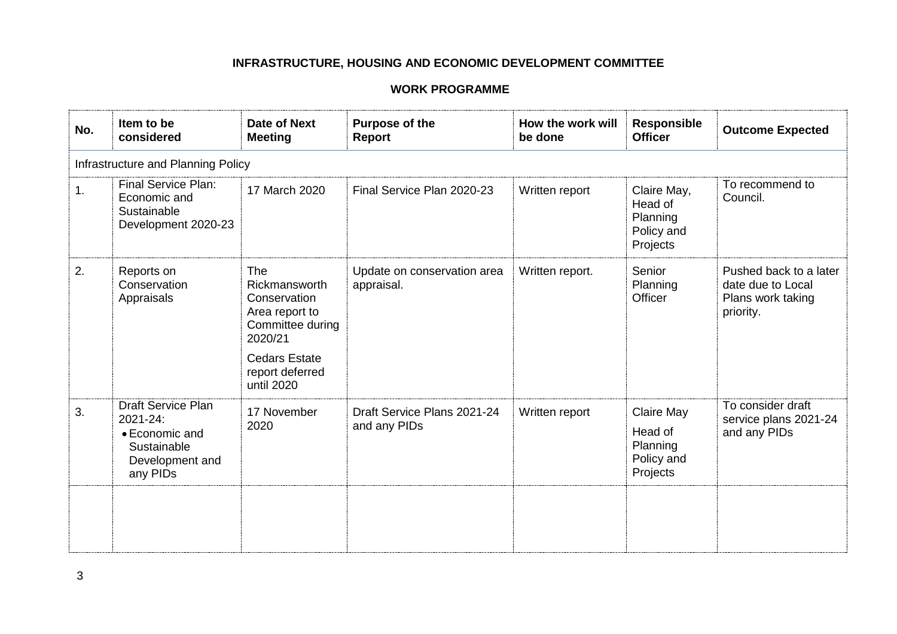| No. | Item to be<br>considered                                                                              | Date of Next<br><b>Meeting</b>                                                                                                                        | Purpose of the<br>Report                    | How the work will<br>be done | Responsible<br><b>Officer</b>                                | <b>Outcome Expected</b>                                                       |  |  |
|-----|-------------------------------------------------------------------------------------------------------|-------------------------------------------------------------------------------------------------------------------------------------------------------|---------------------------------------------|------------------------------|--------------------------------------------------------------|-------------------------------------------------------------------------------|--|--|
|     | Infrastructure and Planning Policy                                                                    |                                                                                                                                                       |                                             |                              |                                                              |                                                                               |  |  |
| 1.  | <b>Final Service Plan:</b><br>Economic and<br>Sustainable<br>Development 2020-23                      | 17 March 2020                                                                                                                                         | Final Service Plan 2020-23                  | Written report               | Claire May,<br>Head of<br>Planning<br>Policy and<br>Projects | To recommend to<br>Council.                                                   |  |  |
| 2.  | Reports on<br>Conservation<br>Appraisals                                                              | <b>The</b><br>Rickmansworth<br>Conservation<br>Area report to<br>Committee during<br>2020/21<br><b>Cedars Estate</b><br>report deferred<br>until 2020 | Update on conservation area<br>appraisal.   | Written report.              | Senior<br>Planning<br>Officer                                | Pushed back to a later<br>date due to Local<br>Plans work taking<br>priority. |  |  |
| 3.  | <b>Draft Service Plan</b><br>2021-24:<br>• Economic and<br>Sustainable<br>Development and<br>any PIDs | 17 November<br>2020                                                                                                                                   | Draft Service Plans 2021-24<br>and any PIDs | Written report               | Claire May<br>Head of<br>Planning<br>Policy and<br>Projects  | To consider draft<br>service plans 2021-24<br>and any PIDs                    |  |  |
|     |                                                                                                       |                                                                                                                                                       |                                             |                              |                                                              |                                                                               |  |  |